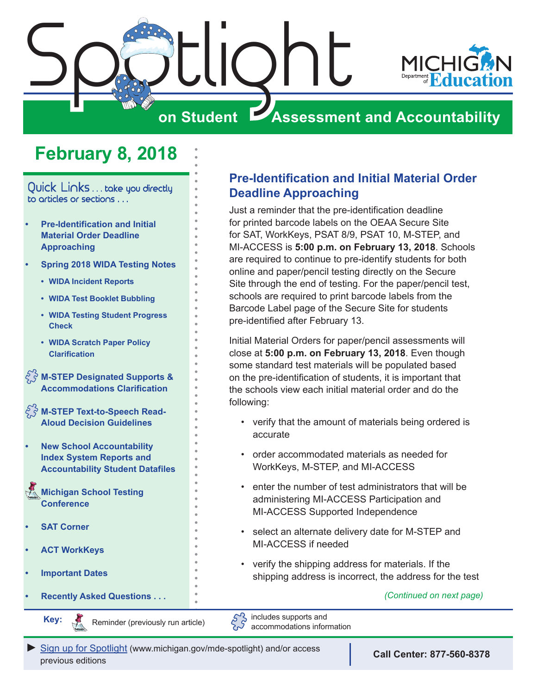<span id="page-0-0"></span>

# **February 8, 2018**

Quick Links . . . take you directly to articles or sections . . .

- **• Pre-Identification and Initial Material Order Deadline Approaching**
- **• [Spring 2018 WIDA Testing Notes](#page-1-0)** 
	- **• [WIDA Incident Reports](#page-1-0)**
	- **• [WIDA Test Booklet Bubbling](#page-1-0)**
	- **• [WIDA Testing Student Progress](#page-1-0)  [Check](#page-1-0)**
	- **• [WIDA Scratch Paper Policy](#page-1-0)  [Clarification](#page-1-0)**

**[M-STEP Designated Supports &](#page-2-0)  [Accommodations Clarification](#page-2-0)**

**[M-STEP Text-to-Speech Read-](#page-2-0)[Aloud Decision Guidelines](#page-2-0)**

**• [New School Accountability](#page-2-0)  [Index System Reports and](#page-2-0)  [Accountability Student Datafiles](#page-2-0)**

Reminders **[Michigan School Testing](#page-4-0)  [Conference](#page-4-0)** 

- **• [SAT Corner](#page-4-1)**
- **• [ACT WorkKeys](#page-6-0)**
- **• [Important Dates](#page-7-0)**
- **• [Recently Asked Questions . . .](#page-8-0)**

Reminders

**Key:**

Reminder (previously run article)

## **Pre-Identification and Initial Material Order Deadline Approaching**

Just a reminder that the pre-identification deadline for printed barcode labels on the OEAA Secure Site for SAT, WorkKeys, PSAT 8/9, PSAT 10, M-STEP, and MI-ACCESS is **5:00 p.m. on February 13, 2018**. Schools are required to continue to pre-identify students for both online and paper/pencil testing directly on the Secure Site through the end of testing. For the paper/pencil test, schools are required to print barcode labels from the Barcode Label page of the Secure Site for students pre-identified after February 13.

Initial Material Orders for paper/pencil assessments will close at **5:00 p.m. on February 13, 2018**. Even though some standard test materials will be populated based on the pre-identification of students, it is important that the schools view each initial material order and do the following:

- verify that the amount of materials being ordered is accurate
- order accommodated materials as needed for WorkKeys, M-STEP, and MI-ACCESS
- enter the number of test administrators that will be administering MI-ACCESS Participation and MI-ACCESS Supported Independence
- select an alternate delivery date for M-STEP and MI-ACCESS if needed
- verify the shipping address for materials. If the shipping address is incorrect, the address for the test

*(Continued on next page)*

 $5^2$ includes supports and accommodations information

[Sign up for Spotlight](https://public.govdelivery.com/accounts/MIMDE/subscriber/new) [\(www.michigan.gov/mde](www.michigan.gov/mde-spotlight)-spotlight) and/or access previous editions

**Call Center: 877-560-8378**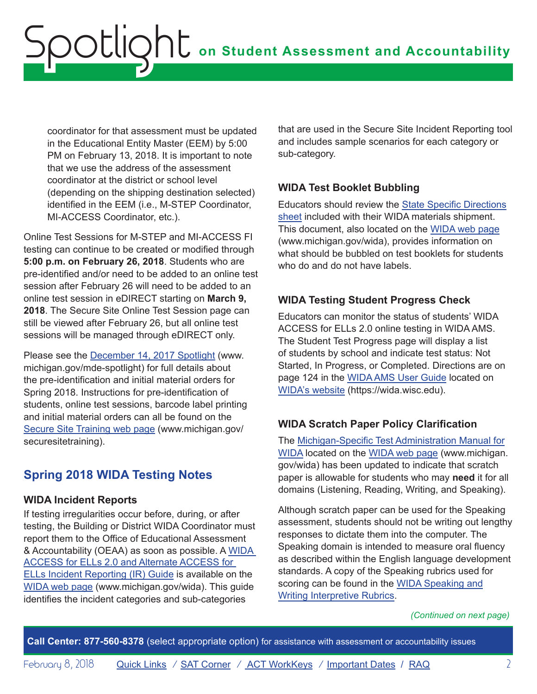<span id="page-1-0"></span>coordinator for that assessment must be updated in the Educational Entity Master (EEM) by 5:00 PM on February 13, 2018. It is important to note that we use the address of the assessment coordinator at the district or school level (depending on the shipping destination selected) identified in the EEM (i.e., M-STEP Coordinator, MI-ACCESS Coordinator, etc.).

Online Test Sessions for M-STEP and MI-ACCESS FI testing can continue to be created or modified through **5:00 p.m. on February 26, 2018**. Students who are pre-identified and/or need to be added to an online test session after February 26 will need to be added to an online test session in eDIRECT starting on **March 9, 2018**. The Secure Site Online Test Session page can still be viewed after February 26, but all online test sessions will be managed through eDIRECT only.

Please see the **December 14, 2017** Spotlight [\(www.](http://www.michigan.gov/mde-spotlight) [michigan.gov/mde-spotlight\)](http://www.michigan.gov/mde-spotlight) for full details about the pre-identification and initial material orders for Spring 2018. Instructions for pre-identification of students, online test sessions, barcode label printing and initial material orders can all be found on the [Secure Site Training web page](http://www.michigan.gov/securesitetraining) ([www.michigan.gov/](http://www.michigan.gov/securesitetraining) [securesitetraining](http://www.michigan.gov/securesitetraining)).

# **Spring 2018 WIDA Testing Notes**

## **WIDA Incident Reports**

If testing irregularities occur before, during, or after testing, the Building or District WIDA Coordinator must report them to the Office of Educational Assessment & Accountability (OEAA) as soon as possible. A [WIDA](https://www.michigan.gov/documents/mde/Incident_Reporting_520328_7.pdf)  [ACCESS for ELLs 2.0 and Alternate ACCESS for](https://www.michigan.gov/documents/mde/Incident_Reporting_520328_7.pdf)  [ELLs Incident Reporting \(IR\) Guide](https://www.michigan.gov/documents/mde/Incident_Reporting_520328_7.pdf) is available on the [WIDA web page](www.michigan.gov/wida) (<www.michigan.gov/wida>). This guide identifies the incident categories and sub-categories

that are used in the Secure Site Incident Reporting tool and includes sample scenarios for each category or sub-category.

## **WIDA Test Booklet Bubbling**

Educators should review the [State Specific Directions](http://www.michigan.gov/documents/mde/17-18_State_Specific_Directions_-_MI_final_613316_7.pdf)  [sheet](http://www.michigan.gov/documents/mde/17-18_State_Specific_Directions_-_MI_final_613316_7.pdf) included with their WIDA materials shipment. This document, also located on the [WIDA web page](www.michigan.gov/wida) ([www.michigan.gov/wida\)](www.michigan.gov/wida), provides information on what should be bubbled on test booklets for students who do and do not have labels.

## **WIDA Testing Student Progress Check**

Educators can monitor the status of students' WIDA ACCESS for ELLs 2.0 online testing in WIDA AMS. The Student Test Progress page will display a list of students by school and indicate test status: Not Started, In Progress, or Completed. Directions are on page 124 in the [WIDA AMS User Guide](https://www.wida.us/assessment/AMS/WIDA_AMS_User_Guide_2017.pdf) located on [WIDA's website](https://wida.wisc.edu) ([https://wida.wisc.edu](www.wida.us)).

## **WIDA Scratch Paper Policy Clarification**

The [Michigan-Specific Test Administration Manual for](http://www.michigan.gov/documents/mde/S18_WIDA_TAM_608543_7.pdf)  [WIDA](http://www.michigan.gov/documents/mde/S18_WIDA_TAM_608543_7.pdf) located on the [WIDA web page](www.michigan.gov/wida) [\(www.michigan.](www.michigan.gov/wida) [gov/wida\)](www.michigan.gov/wida) has been updated to indicate that scratch paper is allowable for students who may **need** it for all domains (Listening, Reading, Writing, and Speaking).

Although scratch paper can be used for the Speaking assessment, students should not be writing out lengthy responses to dictate them into the computer. The Speaking domain is intended to measure oral fluency as described within the English language development standards. A copy of the Speaking rubrics used for scoring can be found in the [WIDA Speaking and](https://wida.wisc.edu/resources/speaking-and-writing-interpretive-rubrics)  [Writing Interpretive Rubrics.](https://wida.wisc.edu/resources/speaking-and-writing-interpretive-rubrics)

### *(Continued on next page)*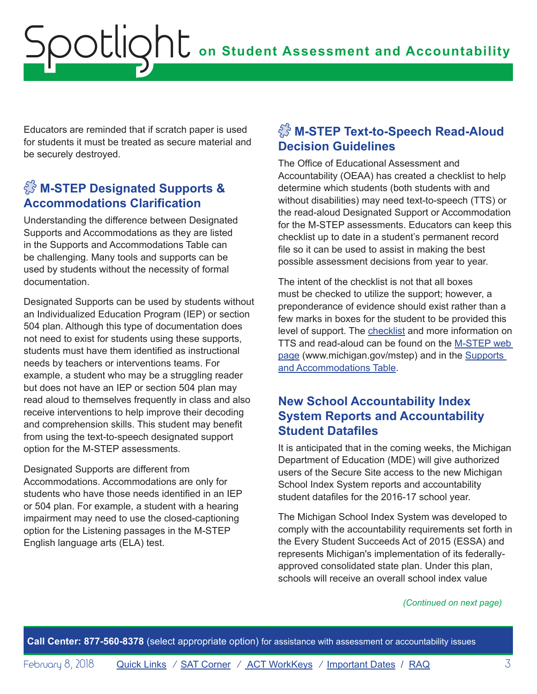<span id="page-2-0"></span>Educators are reminded that if scratch paper is used for students it must be treated as secure material and be securely destroyed.

# $\sqrt{\frac{2}{3}}$  M-STEP Designated Supports & **Accommodations Clarification**

Understanding the difference between Designated Supports and Accommodations as they are listed in the Supports and Accommodations Table can be challenging. Many tools and supports can be used by students without the necessity of formal documentation.

Designated Supports can be used by students without an Individualized Education Program (IEP) or section 504 plan. Although this type of documentation does not need to exist for students using these supports, students must have them identified as instructional needs by teachers or interventions teams. For example, a student who may be a struggling reader but does not have an IEP or section 504 plan may read aloud to themselves frequently in class and also receive interventions to help improve their decoding and comprehension skills. This student may benefit from using the text-to-speech designated support option for the M-STEP assessments.

## Designated Supports are different from Accommodations. Accommodations are only for students who have those needs identified in an IEP or 504 plan. For example, a student with a hearing impairment may need to use the closed-captioning option for the Listening passages in the M-STEP English language arts (ELA) test.

# $\sqrt[3]{3}$  M-STEP Text-to-Speech Read-Aloud **Decision Guidelines**

The Office of Educational Assessment and Accountability (OEAA) has created a checklist to help determine which students (both students with and without disabilities) may need text-to-speech (TTS) or the read-aloud Designated Support or Accommodation for the M-STEP assessments. Educators can keep this checklist up to date in a student's permanent record file so it can be used to assist in making the best possible assessment decisions from year to year.

The intent of the checklist is not that all boxes must be checked to utilize the support; however, a preponderance of evidence should exist rather than a few marks in boxes for the student to be provided this level of support. The [checklist](http://www.michigan.gov/documents/mde/TTS_and_Read-Aloud_Decision_Guidelines_612630_7.pdf) and more information on TTS and read-aloud can be found on the [M-STEP web](www.michigan.gov/mstep)  [page \(www.michigan.gov/mstep\)](www.michigan.gov/mstep) and in the [Supports](http://www.michigan.gov/documents/mde/M-STEP_Supports_and__Accommodations_Table_477120_7.pdf)  [and Accommodations Table.](http://www.michigan.gov/documents/mde/M-STEP_Supports_and__Accommodations_Table_477120_7.pdf)

## **New School Accountability Index System Reports and Accountability Student Datafiles**

It is anticipated that in the coming weeks, the Michigan Department of Education (MDE) will give authorized users of the Secure Site access to the new Michigan School Index System reports and accountability student datafiles for the 2016-17 school year.

The Michigan School Index System was developed to comply with the accountability requirements set forth in the Every Student Succeeds Act of 2015 (ESSA) and represents Michigan's implementation of its federallyapproved consolidated state plan. Under this plan, schools will receive an overall school index value

## *(Continued on next page)*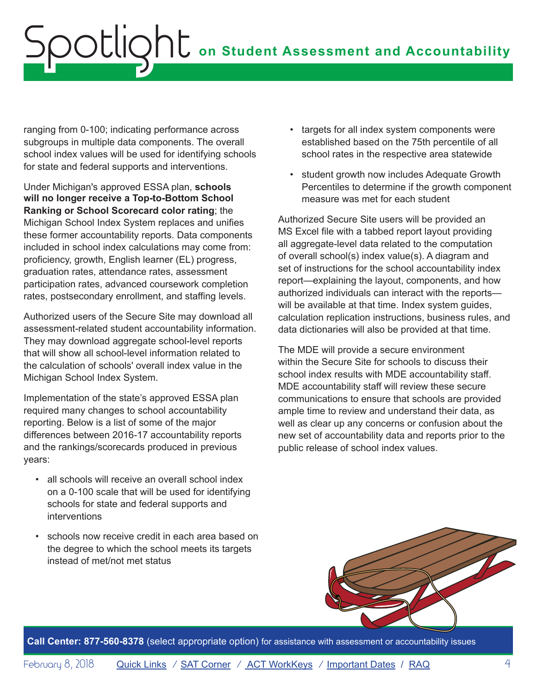ranging from 0-100; indicating performance across subgroups in multiple data components. The overall school index values will be used for identifying schools for state and federal supports and interventions.

Under Michigan's approved ESSA plan, **schools will no longer receive a Top-to-Bottom School Ranking or School Scorecard color rating**; the Michigan School Index System replaces and unifies these former accountability reports. Data components included in school index calculations may come from: proficiency, growth, English learner (EL) progress, graduation rates, attendance rates, assessment participation rates, advanced coursework completion rates, postsecondary enrollment, and staffing levels.

Authorized users of the Secure Site may download all assessment-related student accountability information. They may download aggregate school-level reports that will show all school-level information related to the calculation of schools' overall index value in the Michigan School Index System.

Implementation of the state's approved ESSA plan required many changes to school accountability reporting. Below is a list of some of the major differences between 2016-17 accountability reports and the rankings/scorecards produced in previous years:

- all schools will receive an overall school index on a 0-100 scale that will be used for identifying schools for state and federal supports and interventions
- schools now receive credit in each area based on the degree to which the school meets its targets instead of met/not met status
- targets for all index system components were established based on the 75th percentile of all school rates in the respective area statewide
- student growth now includes Adequate Growth Percentiles to determine if the growth component measure was met for each student

Authorized Secure Site users will be provided an MS Excel file with a tabbed report layout providing all aggregate-level data related to the computation of overall school(s) index value(s). A diagram and set of instructions for the school accountability index report—explaining the layout, components, and how authorized individuals can interact with the reports will be available at that time. Index system quides, calculation replication instructions, business rules, and data dictionaries will also be provided at that time.

The MDE will provide a secure environment within the Secure Site for schools to discuss their school index results with MDE accountability staff. MDE accountability staff will review these secure communications to ensure that schools are provided ample time to review and understand their data, as well as clear up any concerns or confusion about the new set of accountability data and reports prior to the public release of school index values.

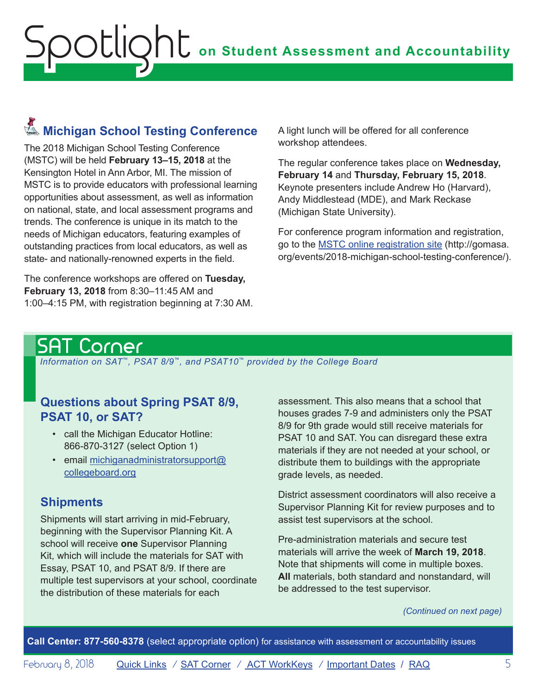# <span id="page-4-0"></span>Reminders **Michigan School Testing Conference**

The 2018 Michigan School Testing Conference (MSTC) will be held **February 13–15, 2018** at the Kensington Hotel in Ann Arbor, MI. The mission of MSTC is to provide educators with professional learning opportunities about assessment, as well as information on national, state, and local assessment programs and trends. The conference is unique in its match to the needs of Michigan educators, featuring examples of outstanding practices from local educators, as well as state- and nationally-renowned experts in the field.

The conference workshops are offered on **Tuesday, February 13, 2018** from 8:30–11:45 AM and 1:00–4:15 PM, with registration beginning at 7:30 AM. A light lunch will be offered for all conference workshop attendees.

The regular conference takes place on **Wednesday, February 14** and **Thursday, February 15, 2018**. Keynote presenters include Andrew Ho (Harvard), Andy Middlestead (MDE), and Mark Reckase (Michigan State University).

For conference program information and registration, go to the [MSTC online registration site](http://gomasa.org/events/2018-michigan-school-testing-conference/) [\(http://gomasa.](http://gomasa.org/events/2018-michigan-school-testing-conference/) [org/events/2018-michigan-school-testing-conference/\)](http://gomasa.org/events/2018-michigan-school-testing-conference/).

# <span id="page-4-1"></span>SAT Corner

 *Information on SAT*™*, PSAT 8/9*™*, and PSAT10*™ *provided by the College Board*

# **Questions about Spring PSAT 8/9, PSAT 10, or SAT?**

- call the Michigan Educator Hotline: 866-870-3127 (select Option 1)
- email [michiganadministratorsupport@](mailto:michiganadministratorsupport%40collegeboard.org?subject=) [collegeboard.org](mailto:michiganadministratorsupport%40collegeboard.org?subject=)

# **Shipments**

Shipments will start arriving in mid-February, beginning with the Supervisor Planning Kit. A school will receive **one** Supervisor Planning Kit, which will include the materials for SAT with Essay, PSAT 10, and PSAT 8/9. If there are multiple test supervisors at your school, coordinate the distribution of these materials for each

assessment. This also means that a school that houses grades 7-9 and administers only the PSAT 8/9 for 9th grade would still receive materials for PSAT 10 and SAT. You can disregard these extra materials if they are not needed at your school, or distribute them to buildings with the appropriate grade levels, as needed.

District assessment coordinators will also receive a Supervisor Planning Kit for review purposes and to assist test supervisors at the school.

Pre-administration materials and secure test materials will arrive the week of **March 19, 2018**. Note that shipments will come in multiple boxes. **All** materials, both standard and nonstandard, will be addressed to the test supervisor.

*(Continued on next page)*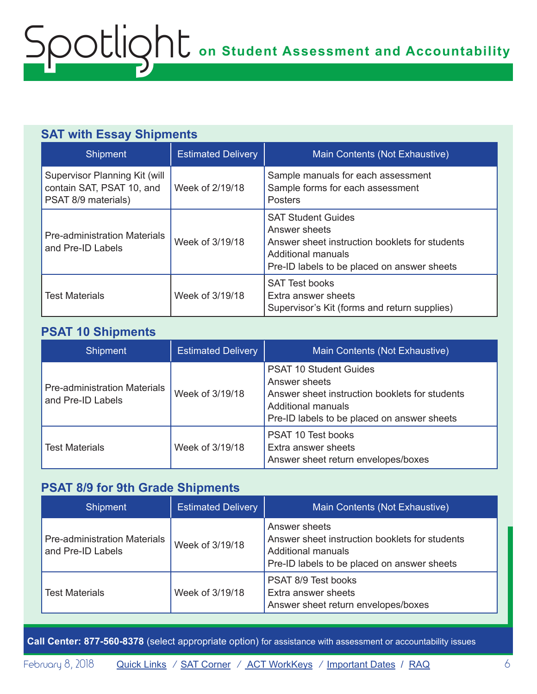# **SAT with Essay Shipments**

| <b>Shipment</b>                                                                   | <b>Estimated Delivery</b> | Main Contents (Not Exhaustive)                                                                                                                                    |
|-----------------------------------------------------------------------------------|---------------------------|-------------------------------------------------------------------------------------------------------------------------------------------------------------------|
| Supervisor Planning Kit (will<br>contain SAT, PSAT 10, and<br>PSAT 8/9 materials) | Week of 2/19/18           | Sample manuals for each assessment<br>Sample forms for each assessment<br><b>Posters</b>                                                                          |
| <b>Pre-administration Materials</b><br>and Pre-ID Labels                          | Week of 3/19/18           | <b>SAT Student Guides</b><br>Answer sheets<br>Answer sheet instruction booklets for students<br>Additional manuals<br>Pre-ID labels to be placed on answer sheets |
| <b>Test Materials</b>                                                             | Week of 3/19/18           | <b>SAT Test books</b><br>Extra answer sheets<br>Supervisor's Kit (forms and return supplies)                                                                      |

## **PSAT 10 Shipments**

| Shipment                                                 | <b>Estimated Delivery</b> | Main Contents (Not Exhaustive)                                                                                                                                        |
|----------------------------------------------------------|---------------------------|-----------------------------------------------------------------------------------------------------------------------------------------------------------------------|
| <b>Pre-administration Materials</b><br>and Pre-ID Labels | Week of 3/19/18           | <b>PSAT 10 Student Guides</b><br>Answer sheets<br>Answer sheet instruction booklets for students<br>Additional manuals<br>Pre-ID labels to be placed on answer sheets |
| <b>Test Materials</b>                                    | Week of 3/19/18           | <b>PSAT 10 Test books</b><br>Extra answer sheets<br>Answer sheet return envelopes/boxes                                                                               |

## **PSAT 8/9 for 9th Grade Shipments**

| <b>Shipment</b>                                          | <b>Estimated Delivery</b> | Main Contents (Not Exhaustive)                                                                                                              |
|----------------------------------------------------------|---------------------------|---------------------------------------------------------------------------------------------------------------------------------------------|
| <b>Pre-administration Materials</b><br>and Pre-ID Labels | Week of 3/19/18           | Answer sheets<br>Answer sheet instruction booklets for students<br><b>Additional manuals</b><br>Pre-ID labels to be placed on answer sheets |
| <b>Test Materials</b>                                    | Week of 3/19/18           | PSAT 8/9 Test books<br>Extra answer sheets<br>Answer sheet return envelopes/boxes                                                           |

**Call Center: 877-560-8378** (select appropriate option) for assistance with assessment or accountability issues

February 8, 2018 **[Quick Links](#page-0-0)** / **[SAT Corner](#page-4-1)** / **[ACT WorkKeys](#page-6-1)** / **[Important Dates](#page-7-1)** / **[RAQ](#page-8-1)** 6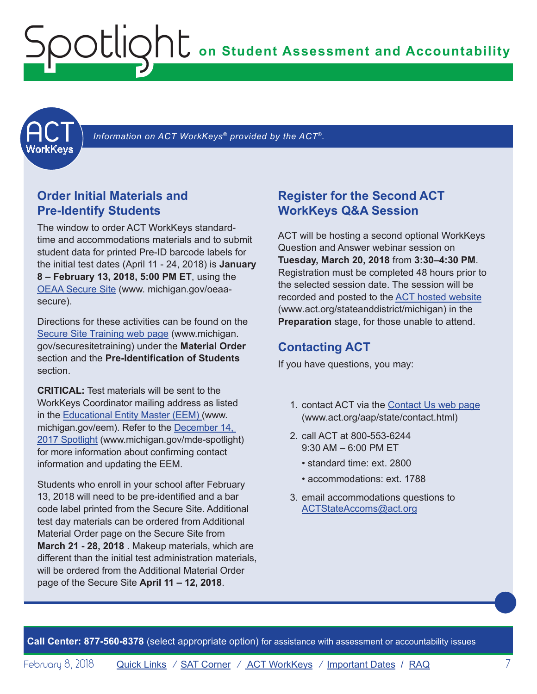<span id="page-6-0"></span>

 *Information on ACT WorkKeys® provided by the ACT*®*.*

## **Order Initial Materials and Pre-Identify Students**

The window to order ACT WorkKeys standardtime and accommodations materials and to submit student data for printed Pre-ID barcode labels for the initial test dates (April 11 - 24, 2018) is **January 8 – February 13, 2018, 5:00 PM ET**, using the [OEAA Secure Site](http://www.michigan.gov/oeaa-secure) [\(www. michigan.gov/oeaa](http://www.michigan.gov/oeaa-secure)[secure\)](http://www.michigan.gov/oeaa-secure).

Directions for these activities can be found on the [Secure Site Training web page](http://www.michigan.gov/securesitetraining) [\(www.michigan.](http://www.michigan.gov/securesitetraining) [gov/securesitetraining](http://www.michigan.gov/securesitetraining)) under the **Material Order** section and the **Pre-Identification of Students** section.

<span id="page-6-1"></span>**CRITICAL:** Test materials will be sent to the WorkKeys Coordinator mailing address as listed in the [Educational Entity Master \(EEM\)](www.michigan.gov/EEM) ([www.](www.michigan.gov/EEM) [michigan.gov/eem](www.michigan.gov/EEM)). Refer to the [December 14,](http://www.michigan.gov/documents/mde/Spotlight_12-14-17_608699_7.pdf)  [2017 Spotlight](http://www.michigan.gov/documents/mde/Spotlight_12-14-17_608699_7.pdf) ([www.michigan.gov/mde-spotlight\)](http://www.michigan.gov/mde-spotlight) for more information about confirming contact information and updating the EEM.

Students who enroll in your school after February 13, 2018 will need to be pre-identified and a bar code label printed from the Secure Site. Additional test day materials can be ordered from Additional Material Order page on the Secure Site from **March 21 - 28, 2018** . Makeup materials, which are different than the initial test administration materials, will be ordered from the Additional Material Order page of the Secure Site **April 11 – 12, 2018**.

## **Register for the Second ACT WorkKeys Q&A Session**

ACT will be hosting a second optional WorkKeys Question and Answer webinar session on **Tuesday, March 20, 2018** from **3:30–4:30 PM**. Registration must be completed 48 hours prior to the selected session date. The session will be recorded and posted to the ACT [hosted website](http://www.act.org/stateanddistrict/michigan) ([www.act.org/stateanddistrict/michigan](http://www.act.org/stateanddistrict/michigan)) in [the](http://www.act.org/stateanddistrict/michigan)  **Preparation** stage, for those unable to attend.

## **Contacting ACT**

If you have questions, you may:

- 1. contact ACT via the [Contact Us web page](http://www.act.org/aap/state/contact.html) (<www.act.org/aap/state/contact.html>)
- 2. call ACT at 800-553-6244 9:30 AM – 6:00 PM ET
	- standard time: ext. 2800
	- accommodations: ext. 1788
- 3. email accommodations questions to [ACTStateAccoms@act.org](mailto:ACTStateAccoms%40act.org?subject=)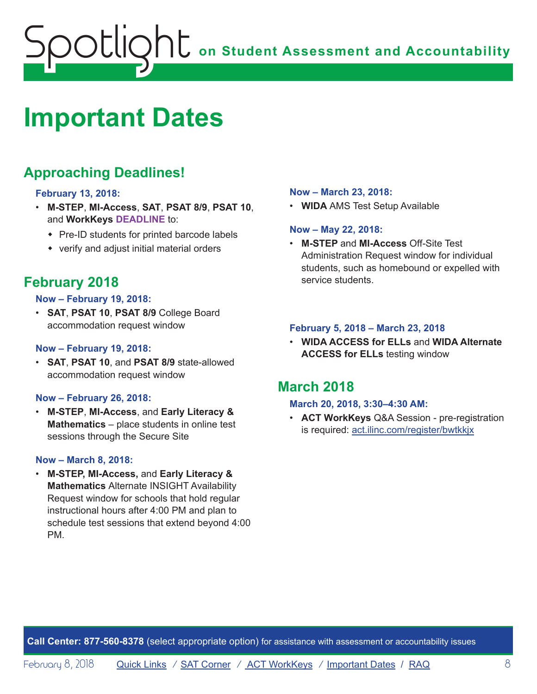# <span id="page-7-1"></span><span id="page-7-0"></span>**Important Dates**

# **Approaching Deadlines!**

## **February 13, 2018:**

- **M-STEP**, **MI-Access**, **SAT**, **PSAT 8/9**, **PSAT 10**, and **WorkKeys DEADLINE** to:
	- $\cdot$  Pre-ID students for printed barcode labels
	- $\bullet$  verify and adjust initial material orders

# **February 2018**

### **Now – February 19, 2018:**

• **SAT**, **PSAT 10**, **PSAT 8/9** College Board accommodation request window

### **Now – February 19, 2018:**

• **SAT**, **PSAT 10**, and **PSAT 8/9** state-allowed accommodation request window

### **Now – February 26, 2018:**

• **M-STEP**, **MI-Access**, and **Early Literacy & Mathematics** – place students in online test sessions through the Secure Site

### **Now – March 8, 2018:**

• **M-STEP, MI-Access,** and **Early Literacy & Mathematics** Alternate INSIGHT Availability Request window for schools that hold regular instructional hours after 4:00 PM and plan to schedule test sessions that extend beyond 4:00 PM.

### **Now – March 23, 2018:**

• **WIDA** AMS Test Setup Available

### **Now – May 22, 2018:**

• **M-STEP** and **MI-Access** Off-Site Test Administration Request window for individual students, such as homebound or expelled with service students.

### **February 5, 2018 – March 23, 2018**

• **WIDA ACCESS for ELLs** and **WIDA Alternate ACCESS for ELLs** testing window

## **March 2018**

### **March 20, 2018, 3:30–4:30 AM:**

• **ACT WorkKeys** Q&A Session - pre-registration is required: act.ilinc.com/register/bwtkkjx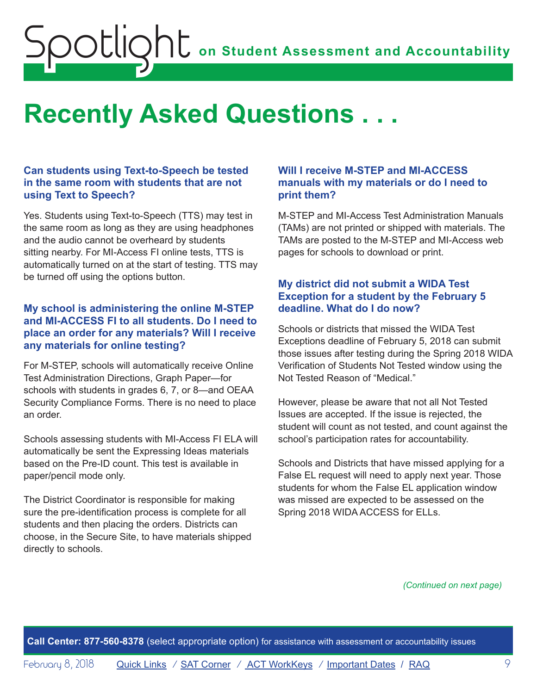# <span id="page-8-1"></span><span id="page-8-0"></span>**Recently Asked Questions . . .**

## **Can students using Text-to-Speech be tested in the same room with students that are not using Text to Speech?**

Yes. Students using Text-to-Speech (TTS) may test in the same room as long as they are using headphones and the audio cannot be overheard by students sitting nearby. For MI-Access FI online tests, TTS is automatically turned on at the start of testing. TTS may be turned off using the options button.

## **My school is administering the online M-STEP and MI-ACCESS FI to all students. Do I need to place an order for any materials? Will I receive any materials for online testing?**

For M-STEP, schools will automatically receive Online Test Administration Directions, Graph Paper—for schools with students in grades 6, 7, or 8—and OEAA Security Compliance Forms. There is no need to place an order.

Schools assessing students with MI-Access FI ELA will automatically be sent the Expressing Ideas materials based on the Pre-ID count. This test is available in paper/pencil mode only.

The District Coordinator is responsible for making sure the pre-identification process is complete for all students and then placing the orders. Districts can choose, in the Secure Site, to have materials shipped directly to schools.

## **Will I receive M-STEP and MI-ACCESS manuals with my materials or do I need to print them?**

M-STEP and MI-Access Test Administration Manuals (TAMs) are not printed or shipped with materials. The TAMs are posted to the M-STEP and MI-Access web pages for schools to download or print.

## **My district did not submit a WIDA Test Exception for a student by the February 5 deadline. What do I do now?**

Schools or districts that missed the WIDA Test Exceptions deadline of February 5, 2018 can submit those issues after testing during the Spring 2018 WIDA Verification of Students Not Tested window using the Not Tested Reason of "Medical."

However, please be aware that not all Not Tested Issues are accepted. If the issue is rejected, the student will count as not tested, and count against the school's participation rates for accountability.

Schools and Districts that have missed applying for a False EL request will need to apply next year. Those students for whom the False EL application window was missed are expected to be assessed on the Spring 2018 WIDA ACCESS for ELLs.

*(Continued on next page)*

**Call Center: 877-560-8378** (select appropriate option) for assistance with assessment or accountability issues

February 8, 2018 **[Quick Links](#page-0-0)** / **[SAT Corner](#page-4-1)** / **[ACT WorkKeys](#page-6-1)** / **[Important Dates](#page-7-1)** / **[RAQ](#page-8-1)** 9